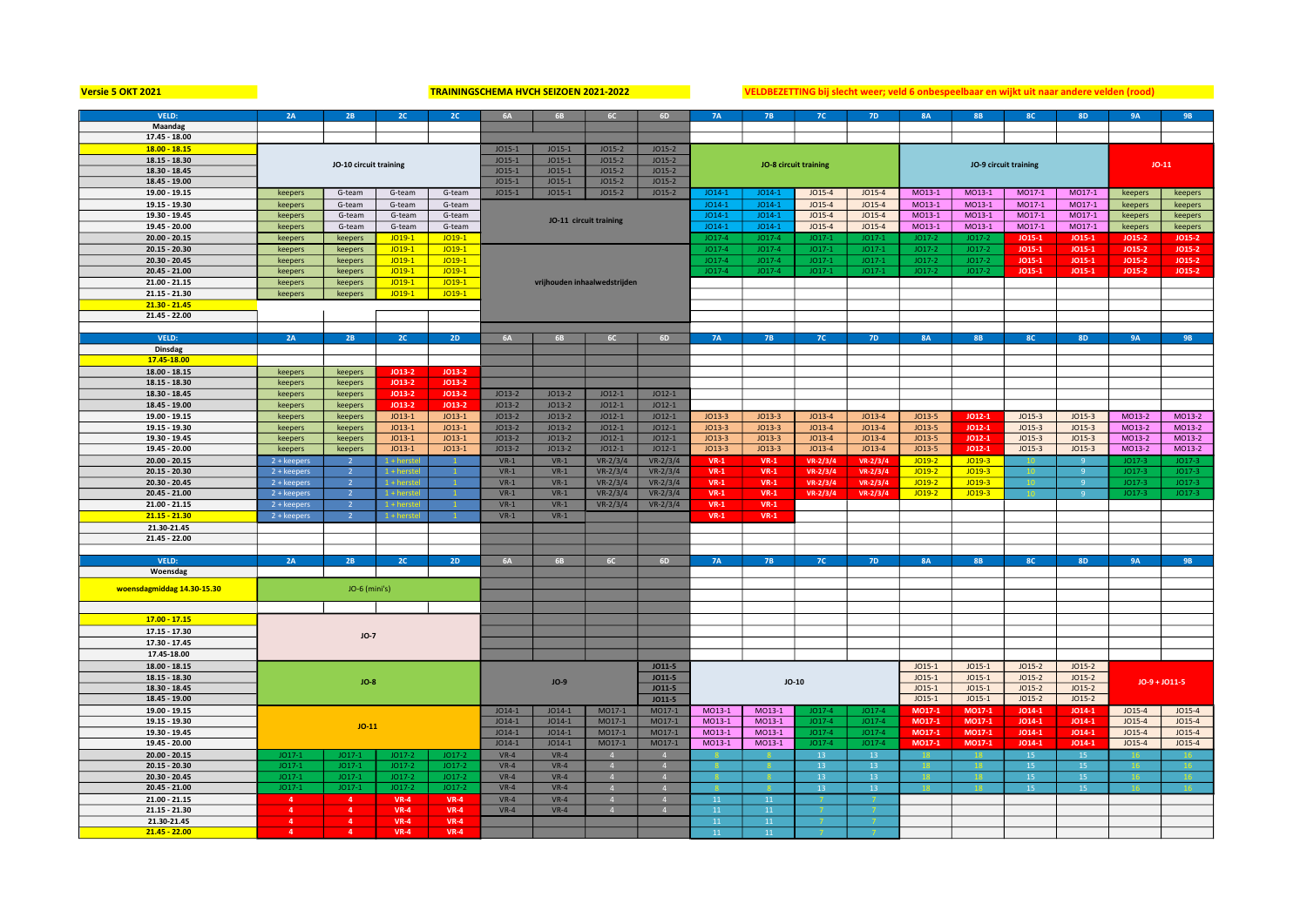Versie 5 OKT 2021 **WEBELL CHEMENT SEIZOF ALT ALT AN DETERMA HVCH SEIZOEN 2021-2022** VELDBEZETTING bij slecht weer; veld 6 onbespeelbaar en wijkt uit naar andere velden (rood)

| VELD:                      | 2A             | 2B                     | 2C            | 2C             | <b>6A</b>                                    | <b>6B</b> | 6C                           | 6D             |           |                       | <b>7C</b>       | <b>7D</b>    | <b>8A</b> | <b>8B</b> | <b>8C</b>             | <b>8D</b>      | <b>9A</b>     | <b>9B</b> |
|----------------------------|----------------|------------------------|---------------|----------------|----------------------------------------------|-----------|------------------------------|----------------|-----------|-----------------------|-----------------|--------------|-----------|-----------|-----------------------|----------------|---------------|-----------|
|                            |                |                        |               |                |                                              |           |                              |                | <b>7A</b> | <b>7B</b>             |                 |              |           |           |                       |                |               |           |
| Maandag                    |                |                        |               |                |                                              |           |                              |                |           |                       |                 |              |           |           |                       |                |               |           |
| 17.45 - 18.00              |                |                        |               |                |                                              |           |                              |                |           |                       |                 |              |           |           |                       |                |               |           |
| $18.00 - 18.15$            |                | $JO15-1$               | $JO15-1$      | $JO15-2$       | $JO15-2$                                     |           |                              |                |           |                       |                 |              |           |           |                       |                |               |           |
| 18.15 - 18.30              |                |                        |               |                | $JO15-2$<br>$JO15-1$<br>$JO15-1$<br>$JO15-2$ |           |                              |                |           |                       |                 |              |           |           |                       | $JO-11$        |               |           |
| 18.30 - 18.45              |                | JO-10 circuit training |               |                | $JO15-1$<br>$JO15-1$<br>$JO15-2$<br>$JO15-2$ |           |                              |                |           | JO-8 circuit training |                 |              |           |           | JO-9 circuit training |                |               |           |
| 18.45 - 19.00              |                |                        |               |                | $JO15-1$                                     | $JO15-1$  | $JO15-2$                     | $JO15-2$       |           |                       |                 |              |           |           |                       |                |               |           |
|                            |                |                        |               |                |                                              |           |                              |                |           |                       |                 |              | M013-1    | MO13-1    | M017-1                | M017-1         |               |           |
| 19.00 - 19.15              | keepers        | G-team                 | G-team        | G-team         | $JO15-1$                                     | $JO15-1$  | $JO15-2$                     | $JO15-2$       | $JO14-1$  | $JO14-1$              | $JO15-4$        | $JO15-4$     |           |           |                       |                | keepers       | keepers   |
| 19.15 - 19.30              | keepers        | G-team                 | G-team        | G-team         |                                              |           |                              |                | $JO14-1$  | $JO14-1$              | $JO15-4$        | $JO15-4$     | MO13-1    | MO13-1    | MO17-1                | MO17-1         | keepers       | keepers   |
| 19.30 - 19.45              | keepers        | G-team                 | G-team        | G-team         |                                              |           | JO-11 circuit training       |                | $JO14-1$  | $JO14-1$              | $JO15-4$        | $JO15-4$     | MO13-1    | MO13-1    | MO17-1                | MO17-1         | keepers       | keepers   |
| 19.45 - 20.00              | keepers        | G-team                 | G-team        | G-team         |                                              |           |                              |                | $JO14-1$  | $JO14-1$              | $JO15-4$        | JO15-4       | MO13-1    | MO13-1    | MO17-1                | MO17-1         | keepers       | keepers   |
| $20.00 - 20.15$            | keepers        | keepers                | $JO19-1$      | $JO19-1$       |                                              |           |                              |                | $JO17-4$  | $JO17-4$              | $JO17-$         | JO17-1       | $JO17-2$  | $JO17-2$  | $JO15-1$              | JO15-1         | <b>JO15-2</b> | JO15-2    |
| 20.15 - 20.30              |                | keepers                | $JO19-1$      | $JO19-1$       |                                              |           |                              |                | $JO17-4$  | $JO17-4$              | $JO17-1$        | $JO17-1$     | $JO17-2$  | $JO17-2$  | $JO15-1$              | $JO15-1$       | $JO15-2$      | JO15-2    |
|                            | keepers        |                        |               |                |                                              |           |                              |                |           |                       |                 |              |           |           |                       |                |               |           |
| 20.30 - 20.45              | keepers        | keepers                | $JO19-1$      | $JO19-1$       |                                              |           |                              |                | $JO17-4$  | 1017-4                | $JO17-1$        | $JO17-$      | $JO17-2$  | $JO17-2$  | JO15-1                | $JO15-1$       | JO15-2        | JO15-2    |
| 20.45 - 21.00              | keepers        | keepers                | $JO19-1$      | $JO19-1$       |                                              |           |                              |                | $JO17-4$  | $JO17-4$              | $JO17-1$        | $JO17-1$     | $JO17-2$  | $JO17-2$  | $JO15-1$              | JO15-1         | $JO15-2$      | JO15-2    |
| 21.00 - 21.15              | keepers        | keepers                | $JO19-1$      | $JO19-1$       |                                              |           | vrijhouden inhaalwedstrijden |                |           |                       |                 |              |           |           |                       |                |               |           |
| 21.15 - 21.30              | keepers        | keepers                | $JO19-1$      | $JO19-1$       |                                              |           |                              |                |           |                       |                 |              |           |           |                       |                |               |           |
| $21.30 - 21.45$            |                |                        |               |                |                                              |           |                              |                |           |                       |                 |              |           |           |                       |                |               |           |
| $21.45 - 22.00$            |                |                        |               |                |                                              |           |                              |                |           |                       |                 |              |           |           |                       |                |               |           |
|                            |                |                        |               |                |                                              |           |                              |                |           |                       |                 |              |           |           |                       |                |               |           |
|                            |                |                        |               |                |                                              |           |                              |                |           |                       |                 |              |           |           |                       |                |               |           |
| VELD:                      | 2A             | 2B                     | 2C            | 2D             | <b>6A</b>                                    | <b>6B</b> | <b>6C</b>                    | 6D             | <b>7A</b> | <b>7B</b>             | 7C              | <b>7D</b>    | <b>8A</b> | <b>8B</b> | 8C                    | <b>8D</b>      | <b>9A</b>     | <b>9B</b> |
| Dinsdag                    |                |                        |               |                |                                              |           |                              |                |           |                       |                 |              |           |           |                       |                |               |           |
| 17.45-18.00                |                |                        |               |                |                                              |           |                              |                |           |                       |                 |              |           |           |                       |                |               |           |
| 18.00 - 18.15              | keepers        | keepers                | JO13-2        | $JO13-2$       |                                              |           |                              |                |           |                       |                 |              |           |           |                       |                |               |           |
| 18.15 - 18.30              | keepers        | keepers                | <b>JO13-2</b> | $JO13-2$       |                                              |           |                              |                |           |                       |                 |              |           |           |                       |                |               |           |
| 18.30 - 18.45              |                |                        |               |                |                                              |           |                              |                |           |                       |                 |              |           |           |                       |                |               |           |
|                            | keepers        | keepers                | JO13-2        | JO13-2         | $JO13-2$                                     | $JO13-2$  | $JO12-1$                     | $JO12-1$       |           |                       |                 |              |           |           |                       |                |               |           |
| 18.45 - 19.00              | keepers        | keepers                | $JO13-2$      | $JO13-2$       | $JO13-2$                                     | $JO13-2$  | $JO12-1$                     | $JO12-1$       |           |                       |                 |              |           |           |                       |                |               |           |
| 19.00 - 19.15              | keepers        | keepers                | $JO13-1$      | $JO13-1$       | $JO13-2$                                     | $JO13-2$  | $JO12-1$                     | $JO12-1$       | $JO13-3$  | $JO13-3$              | $JO13-4$        | $JO13-4$     | $JO13-5$  | $JO12-1$  | $JO15-3$              | $JO15-3$       | MO13-2        | MO13-2    |
| 19.15 - 19.30              | keepers        | keepers                | $JO13-1$      | $JO13-1$       | $JO13-2$                                     | $JO13-2$  | $JO12-1$                     | $JO12-1$       | $JO13-3$  | $JO13-3$              | $JO13-4$        | $JO13-4$     | JO13-5    | JO12-1    | $JO15-3$              | $JO15-3$       | MO13-2        | MO13-2    |
| 19.30 - 19.45              | keepers        | keepers                | $JO13-1$      | $JO13-1$       | $JO13-2$                                     | $JO13-2$  | $JO12-1$                     | $JO12-1$       | $JO13-3$  | $JO13-3$              | $JO13-4$        | $JO13-4$     | JO13-5    | $JO12-1$  | $JO15-3$              | $JO15-3$       | MO13-2        | MO13-2    |
| 19.45 - 20.00              | keepers        | keepers                | $JO13-1$      | $JO13-1$       | $JO13-2$                                     | $JO13-2$  | $JO12-1$                     | $JO12-1$       | $JO13-3$  | $JO13-3$              | $JO13-4$        | $JO13-4$     | $JO13-5$  | $JO12-1$  | $JO15-3$              | $JO15-3$       | MO13-2        | MO13-2    |
|                            |                |                        |               |                |                                              |           |                              |                |           |                       |                 |              |           |           |                       |                |               |           |
| $20.00 - 20.15$            | 2 + keepers    |                        | $+$ herste    |                | $VR-1$                                       | $VR-1$    | $VR - 2/3/4$                 | $VR - 2/3/4$   | $VR-1$    | $VR-1$                | $VR - 2/3/4$    | $VR - 2/3/4$ | $JO19-2$  | $JO19-3$  |                       |                | JO17-3        | $JO17-3$  |
| 20.15 - 20.30              | $2 + keepers$  |                        | 1 + herste    |                | $VR-1$                                       | $VR-1$    | $VR - 2/3/4$                 | $VR - 2/3/4$   | $VR-1$    | $VR-1$                | $VR - 2/3/4$    | $VR - 2/3/4$ | $JO19-2$  | $JO19-3$  |                       | $\mathbf{q}$   | $JO17-3$      | $JO17-3$  |
| 20.30 - 20.45              | $2 + keepers$  | $\overline{2}$         | $1 +$ herste  |                | $VR-1$                                       | $VR-1$    | $VR - 2/3/4$                 | $VR - 2/3/4$   | $VR-1$    | $VR-1$                | $VR - 2/3/4$    | $VR - 2/3/4$ | $JO19-2$  | $JO19-3$  |                       | 9              | $JO17-3$      | $JO17-3$  |
| $20.45 - 21.00$            | $2 + keepers$  | $\overline{2}$         | $1 +$ herstel | $\overline{1}$ | $VR-1$                                       | $VR-1$    | $VR - 2/3/4$                 | $VR-2/3/4$     | $VR-1$    | $VR-1$                | $VR - 2/3/4$    | $VR - 2/3/4$ | $JO19-2$  | $JO19-3$  |                       | 9 <sup>°</sup> | $JO17-3$      | $JO17-3$  |
| 21.00 - 21.15              | 2 + keepers    | $\overline{2}$         | 1 + herstel   |                | $VR-1$                                       | $VR-1$    | $VR - 2/3/4$                 | $VR-2/3/4$     | $VR-1$    | $VR-1$                |                 |              |           |           |                       |                |               |           |
| $21.15 - 21.30$            | 2 + keepers    |                        | $1 +$ herstel |                | $VR-1$                                       | $VR-1$    |                              |                | $VR-1$    | $VR-1$                |                 |              |           |           |                       |                |               |           |
|                            |                |                        |               |                |                                              |           |                              |                |           |                       |                 |              |           |           |                       |                |               |           |
| 21.30-21.45                |                |                        |               |                |                                              |           |                              |                |           |                       |                 |              |           |           |                       |                |               |           |
| 21.45 - 22.00              |                |                        |               |                |                                              |           |                              |                |           |                       |                 |              |           |           |                       |                |               |           |
|                            |                |                        |               |                |                                              |           |                              |                |           |                       |                 |              |           |           |                       |                |               |           |
| VELD:                      | 2A             | 2B                     | 2C            | 2D             | <b>6A</b>                                    | <b>6B</b> | 6C                           | 6D             | <b>7A</b> | <b>7B</b>             | <b>7C</b>       | <b>7D</b>    | <b>8A</b> | <b>8B</b> | <b>8C</b>             | 8D             | <b>9A</b>     | <b>9B</b> |
| Woensdag                   |                |                        |               |                |                                              |           |                              |                |           |                       |                 |              |           |           |                       |                |               |           |
|                            |                |                        |               |                |                                              |           |                              |                |           |                       |                 |              |           |           |                       |                |               |           |
| woensdagmiddag 14.30-15.30 |                |                        |               |                |                                              |           |                              |                |           |                       |                 |              |           |           |                       |                |               |           |
|                            | JO-6 (mini's)  |                        |               |                |                                              |           |                              |                |           |                       |                 |              |           |           |                       |                |               |           |
|                            |                |                        |               |                |                                              |           |                              |                |           |                       |                 |              |           |           |                       |                |               |           |
| $17.00 - 17.15$            |                |                        |               |                |                                              |           |                              |                |           |                       |                 |              |           |           |                       |                |               |           |
| 17.15 - 17.30              |                | $JO-7$                 |               |                |                                              |           |                              |                |           |                       |                 |              |           |           |                       |                |               |           |
|                            |                |                        |               |                |                                              |           |                              |                |           |                       |                 |              |           |           |                       |                |               |           |
| 17.30 - 17.45              |                |                        |               |                |                                              |           |                              |                |           |                       |                 |              |           |           |                       |                |               |           |
| 17.45-18.00                |                |                        |               |                |                                              |           |                              |                |           |                       |                 |              |           |           |                       |                |               |           |
| 18.00 - 18.15              |                |                        |               |                |                                              |           |                              | $JO11-5$       |           |                       |                 |              | $JO15-1$  | $JO15-1$  | $JO15-2$              | $JO15-2$       |               |           |
| 18.15 - 18.30              |                | $JO-8$                 |               |                |                                              |           |                              | $JO11-5$       |           |                       |                 |              | $JO15-1$  | $JO15-1$  | $JO15-2$              | $JO15-2$       |               |           |
| 18.30 - 18.45              |                |                        | $JO-9$        |                | $JO11-5$                                     | $JO-10$   |                              |                |           | $JO15-1$              | $JO15-1$        | $JO15-2$     | $JO15-2$  |           | $JO-9 + JO11-5$       |                |               |           |
| 18.45 - 19.00              |                |                        |               |                |                                              |           |                              | $JO11-5$       |           |                       |                 | $JO15-1$     | $JO15-1$  | $JO15-2$  | $JO15-2$              |                |               |           |
|                            |                |                        |               |                |                                              |           |                              |                |           |                       |                 |              |           |           |                       |                |               |           |
| 19.00 - 19.15              |                |                        |               |                | $JO14-1$                                     | $JO14-1$  | MO17-1                       | MO17-1         | MO13-1    | MO13-1                | $JO17-4$        | $JO17-4$     | MO17-1    | MO17-1    | $JO14-1$              | $JO14-1$       | $JO15-4$      | $JO15-4$  |
| 19.15 - 19.30              |                | $JO-11$                |               |                | $JO14-1$                                     | $JO14-1$  | MO17-1                       | MO17-1         | MO13-1    | MO13-1                | $JO17-4$        | JO17-4       | MO17-1    | MO17-1    | $JO14-1$              | $JO14-1$       | $JO15-4$      | $JO15-4$  |
| 19.30 - 19.45              |                |                        |               |                | $JO14-1$                                     | $JO14-1$  | MO17-1                       | MO17-1         | MO13-1    | MO13-1                | $JO17-4$        | JO17-4       | MO17-1    | MO17-1    | $JO14-1$              | JO14-1         | $JO15-4$      | $JO15-4$  |
| 19.45 - 20.00              |                |                        |               |                | $JO14-1$                                     | $JO14-1$  | MO17-1                       | MO17-1         | $MO13-1$  | $MO13-1$              | $JO17-4$        | $JO17-4$     | MO17-1    | MO17-1    | $JO14-1$              | JO14-1         | $JO15-4$      | $JO15-4$  |
| $20.00 - 20.15$            | JO17-          | $JO17-1$               | JO17-2        | $JO17-2$       | $VR-4$                                       | $VR-4$    |                              |                |           |                       | 13              | 13           |           |           | 15                    | 15             |               |           |
| 20.15 - 20.30              | JO17-          | $JO17-$                | $JO17-2$      | $JO17-2$       | $VR-4$                                       | $VR-4$    | $\overline{4}$               | $\overline{4}$ |           |                       | 13              | 13           | 18        |           | 15                    | 15             | 16            |           |
|                            | $JO17-2$       | $JO17-1$               | $JO17-2$      | $JO17-2$       | $VR-4$                                       | $VR-4$    | $\overline{4}$               | $\overline{4}$ |           |                       | 13 <sup>°</sup> | 13           |           |           | 15                    | 15             |               | 16        |
| 20.30 - 20.45              |                |                        |               |                |                                              |           |                              |                |           |                       |                 |              |           |           |                       |                |               |           |
| $20.45 - 21.00$            | $JO17-1$       | $JO17-1$               | $JO17-2$      | $JO17-2$       | $VR-4$                                       | $VR-4$    | $\overline{A}$               | $\overline{A}$ |           |                       | 13 <sup>°</sup> | 13           |           |           | 15                    | 15             |               |           |
| 21.00 - 21.15              |                |                        | <b>VR-4</b>   | $VR-4$         | $VR-4$                                       | $VR-4$    |                              |                | 11        | 11                    |                 |              |           |           |                       |                |               |           |
| 21.15 - 21.30              | $\overline{a}$ | $\mathbf{a}$           | <b>VR-4</b>   | $VR-4$         | $VR-4$                                       | $VR-4$    | $\overline{4}$               | $\mathbf{A}$   | 11        | 11                    |                 |              |           |           |                       |                |               |           |
| 21.30-21.45                | $\overline{a}$ | $\overline{a}$         | $VR-4$        | $VR-4$         |                                              |           |                              |                | 11        | 11                    |                 |              |           |           |                       |                |               |           |
| $21.45 - 22.00$            | $\mathbf{A}$   | $\mathbf{A}$           | $VR-4$        | $VR-4$         |                                              |           |                              |                | 11        | 11                    |                 |              |           |           |                       |                |               |           |